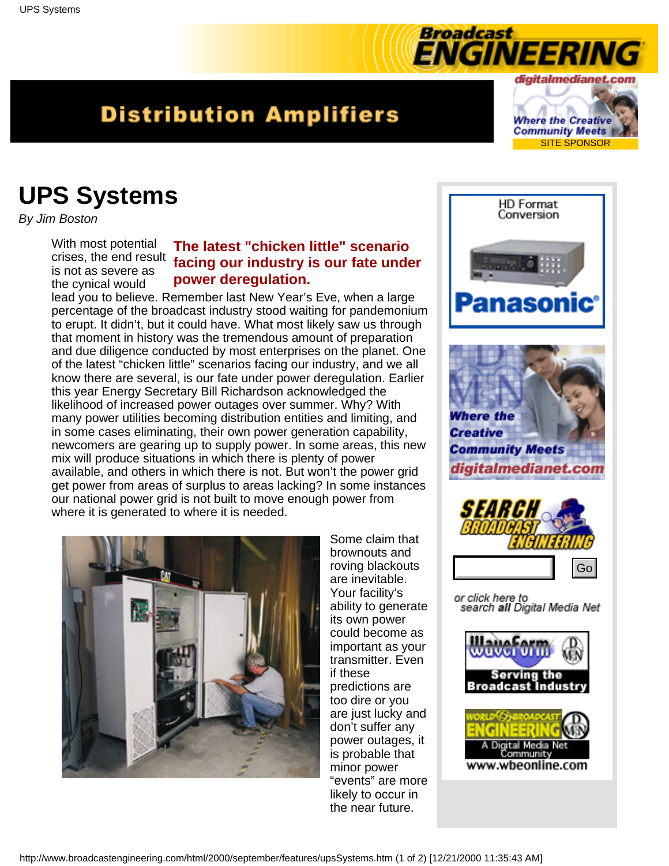## <span id="page-0-0"></span>**Distribution Amplifiers**

digitalmedianet.com **Where the Creative Community Meets** SITE SPONSOR

**NGINEERING** 

Broadcast

## **UPS Systems**

*By Jim Boston*

With most potential is not as severe as the cynical would

## **The latest "chicken little" scenario** crises, the end result **facing our industry is our fate under power deregulation.**

lead you to believe. Remember last New Year's Eve, when a large percentage of the broadcast industry stood waiting for pandemonium to erupt. It didn't, but it could have. What most likely saw us through that moment in history was the tremendous amount of preparation and due diligence conducted by most enterprises on the planet. One of the latest "chicken little" scenarios facing our industry, and we all know there are several, is our fate under power deregulation. Earlier this year Energy Secretary Bill Richardson acknowledged the likelihood of increased power outages over summer. Why? With many power utilities becoming distribution entities and limiting, and in some cases eliminating, their own power generation capability, newcomers are gearing up to supply power. In some areas, this new mix will produce situations in which there is plenty of power available, and others in which there is not. But won't the power grid get power from areas of surplus to areas lacking? In some instances our national power grid is not built to move enough power from where it is generated to where it is needed.



Some claim that brownouts and roving blackouts are inevitable. Your facility's ability to generate its own power could become as important as your transmitter. Even if these predictions are too dire or you are just lucky and don't suffer any power outages, it is probable that minor power "events" are more likely to occur in the near future.